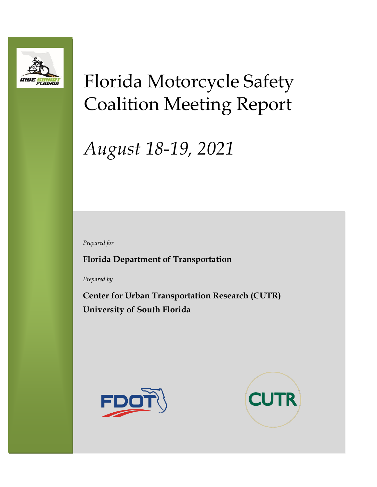

# Florida Motorcycle Safety Coalition Meeting Report

# *August 18-19, 2021*

*Prepared for*

**Florida Department of Transportation**

*Prepared by*

**Center for Urban Transportation Research (CUTR) University of South Florida**



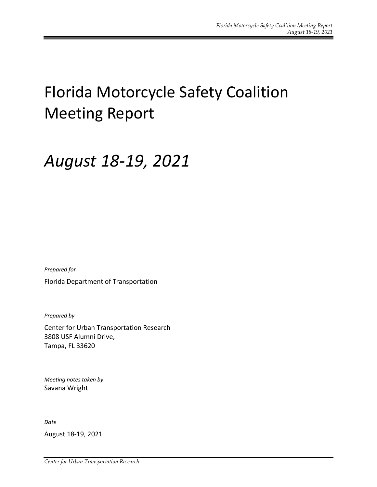# Florida Motorcycle Safety Coalition Meeting Report

## *August 18-19, 2021*

*Prepared for*

Florida Department of Transportation

*Prepared by*

Center for Urban Transportation Research 3808 USF Alumni Drive, Tampa, FL 33620

*Meeting notes taken by* Savana Wright

*Date*

August 18-19, 2021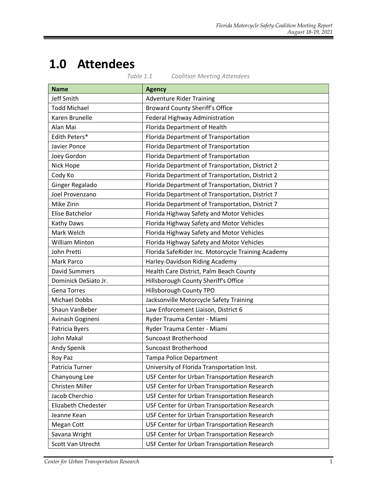## **1.0 Attendees**

|                        | Table 1.1<br><b>Coalition Meeting Attendees</b>    |
|------------------------|----------------------------------------------------|
| <b>Name</b>            | <b>Agency</b>                                      |
| <b>Jeff Smith</b>      | <b>Adventure Rider Training</b>                    |
| <b>Todd Michael</b>    | <b>Broward County Sheriff's Office</b>             |
| Karen Brunelle         | Federal Highway Administration                     |
| Alan Mai               | Florida Department of Health                       |
| Edith Peters*          | Florida Department of Transportation               |
| Javier Ponce           | Florida Department of Transportation               |
| Joey Gordon            | Florida Department of Transportation               |
| Nick Hope              | Florida Department of Transportation, District 2   |
| Cody Ko                | Florida Department of Transportation, District 2   |
| Ginger Regalado        | Florida Department of Transportation, District 7   |
| Joel Provenzano        | Florida Department of Transportation, District 7   |
| Mike Zinn              | Florida Department of Transportation, District 7   |
| <b>Elise Batchelor</b> | Florida Highway Safety and Motor Vehicles          |
| Kathy Daws             | Florida Highway Safety and Motor Vehicles          |
| Mark Welch             | Florida Highway Safety and Motor Vehicles          |
| <b>William Minton</b>  | Florida Highway Safety and Motor Vehicles          |
| John Pretti            | Florida SafeRider Inc. Motorcycle Training Academy |
| Mark Parco             | Harley-Davidson Riding Academy                     |
| <b>David Summers</b>   | Health Care District, Palm Beach County            |
| Dominick DeSiato Jr.   | Hillsborough County Sheriff's Office               |
| <b>Gena Torres</b>     | Hillsborough County TPO                            |
| <b>Michael Dobbs</b>   | Jacksonville Motorcycle Safety Training            |
| Shaun VanBeber         | Law Enforcement Liaison, District 6                |
| Avinash Gogineni       | Ryder Trauma Center - Miami                        |
| Patricia Byers         | Ryder Trauma Center - Miami                        |
| John Makal             | <b>Suncoast Brotherhood</b>                        |
| Andy Spenik            | Suncoast Brotherhood                               |
| Roy Paz                | <b>Tampa Police Department</b>                     |
| Patricia Turner        | University of Florida Transportation Inst.         |
| Chanyoung Lee          | USF Center for Urban Transportation Research       |
| <b>Christen Miller</b> | USF Center for Urban Transportation Research       |
| Jacob Cherchio         | USF Center for Urban Transportation Research       |
| Elizabeth Chedester    | USF Center for Urban Transportation Research       |
| Jeanne Kean            | USF Center for Urban Transportation Research       |
| Megan Cott             | USF Center for Urban Transportation Research       |
| Savana Wright          | USF Center for Urban Transportation Research       |
| Scott Van Utrecht      | USF Center for Urban Transportation Research       |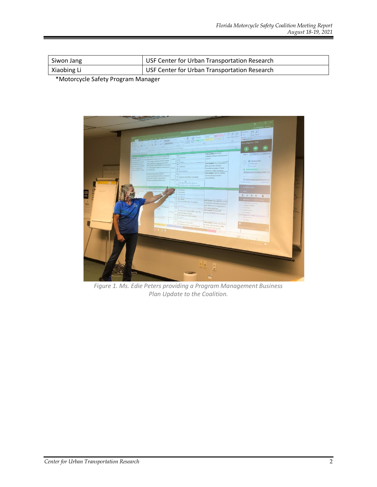| Siwon Jang  | USF Center for Urban Transportation Research |
|-------------|----------------------------------------------|
| Xiaobing Li | USF Center for Urban Transportation Research |

\*Motorcycle Safety Program Manager



*Figure 1. Ms. Edie Peters providing a Program Management Business Plan Update to the Coalition.*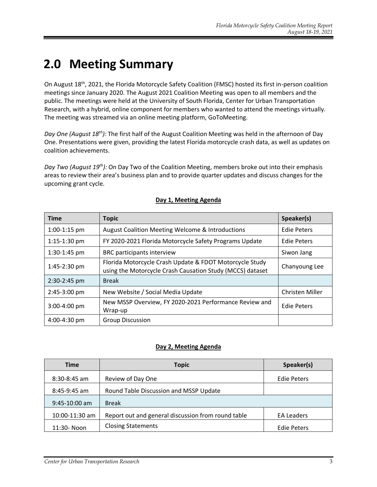### **2.0 Meeting Summary**

On August 18<sup>th</sup>, 2021, the Florida Motorcycle Safety Coalition (FMSC) hosted its first in-person coalition meetings since January 2020. The August 2021 Coalition Meeting was open to all members and the public. The meetings were held at the University of South Florida, Center for Urban Transportation Research, with a hybrid, online component for members who wanted to attend the meetings virtually. The meeting was streamed via an online meeting platform, GoToMeeting.

*Day One (August 18th):* The first half of the August Coalition Meeting was held in the afternoon of Day One. Presentations were given, providing the latest Florida motorcycle crash data, as well as updates on coalition achievements.

*Day Two (August 19th):* On Day Two of the Coalition Meeting, members broke out into their emphasis areas to review their area's business plan and to provide quarter updates and discuss changes for the upcoming grant cycle.

| <b>Time</b>    | <b>Topic</b>                                                                                                         | Speaker(s)             |
|----------------|----------------------------------------------------------------------------------------------------------------------|------------------------|
| $1:00-1:15$ pm | August Coalition Meeting Welcome & Introductions                                                                     | <b>Edie Peters</b>     |
| $1:15-1:30$ pm | FY 2020-2021 Florida Motorcycle Safety Programs Update                                                               | <b>Edie Peters</b>     |
| $1:30-1:45$ pm | BRC participants interview                                                                                           | Siwon Jang             |
| 1:45-2:30 pm   | Florida Motorcycle Crash Update & FDOT Motorcycle Study<br>using the Motorcycle Crash Causation Study (MCCS) dataset | Chanyoung Lee          |
| 2:30-2:45 pm   | <b>Break</b>                                                                                                         |                        |
| 2:45-3:00 pm   | New Website / Social Media Update                                                                                    | <b>Christen Miller</b> |
| $3:00-4:00$ pm | New MSSP Overview, FY 2020-2021 Performance Review and<br>Wrap-up                                                    | <b>Edie Peters</b>     |
| 4:00-4:30 pm   | <b>Group Discussion</b>                                                                                              |                        |

#### **Day 1, Meeting Agenda**

#### **Day 2, Meeting Agenda**

| <b>Time</b>     | <b>Topic</b>                                       | Speaker(s)         |
|-----------------|----------------------------------------------------|--------------------|
| $8:30-8:45$ am  | Review of Day One                                  | <b>Edie Peters</b> |
| 8:45-9:45 am    | Round Table Discussion and MSSP Update             |                    |
| $9:45-10:00$ am | <b>Break</b>                                       |                    |
| 10:00-11:30 am  | Report out and general discussion from round table | <b>EA Leaders</b>  |
| 11:30- Noon     | <b>Closing Statements</b>                          | <b>Edie Peters</b> |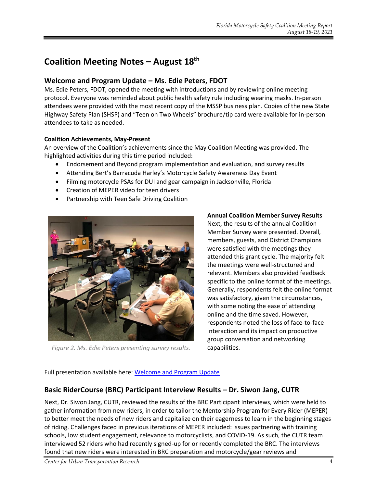### **Coalition Meeting Notes – August 18 th**

#### **Welcome and Program Update – Ms. Edie Peters, FDOT**

Ms. Edie Peters, FDOT, opened the meeting with introductions and by reviewing online meeting protocol. Everyone was reminded about public health safety rule including wearing masks. In-person attendees were provided with the most recent copy of the MSSP business plan. Copies of the new State Highway Safety Plan (SHSP) and "Teen on Two Wheels" brochure/tip card were available for in-person attendees to take as needed.

#### **Coalition Achievements, May-Present**

An overview of the Coalition's achievements since the May Coalition Meeting was provided. The highlighted activities during this time period included:

- Endorsement and Beyond program implementation and evaluation, and survey results
- Attending Bert's Barracuda Harley's Motorcycle Safety Awareness Day Event
- Filming motorcycle PSAs for DUI and gear campaign in Jacksonville, Florida
- Creation of MEPER video for teen drivers
- Partnership with Teen Safe Driving Coalition



*Figure 2. Ms. Edie Peters presenting survey results.*

**Annual Coalition Member Survey Results**  Next, the results of the annual Coalition Member Survey were presented. Overall, members, guests, and District Champions were satisfied with the meetings they attended this grant cycle. The majority felt the meetings were well-structured and relevant. Members also provided feedback specific to the online format of the meetings. Generally, respondents felt the online format was satisfactory, given the circumstances, with some noting the ease of attending online and the time saved. However, respondents noted the loss of face-to-face interaction and its impact on productive group conversation and networking capabilities.

#### Full presentation available here: [Welcome and Program Update](https://ridesmartflorida.com/archives/sdm_downloads/august-2020-welcome-and-program-update-day-1)

#### **Basic RiderCourse (BRC) Participant Interview Results – Dr. Siwon Jang, CUTR**

Next, Dr. Siwon Jang, CUTR, reviewed the results of the BRC Participant Interviews, which were held to gather information from new riders, in order to tailor the Mentorship Program for Every Rider (MEPER) to better meet the needs of new riders and capitalize on their eagerness to learn in the beginning stages of riding. Challenges faced in previous iterations of MEPER included: issues partnering with training schools, low student engagement, relevance to motorcyclists, and COVID-19. As such, the CUTR team interviewed 52 riders who had recently signed-up for or recently completed the BRC. The interviews found that new riders were interested in BRC preparation and motorcycle/gear reviews and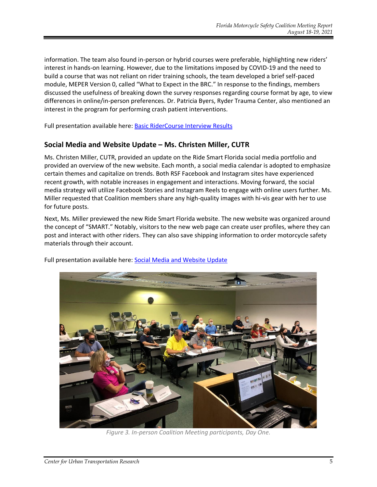information. The team also found in-person or hybrid courses were preferable, highlighting new riders' interest in hands-on learning. However, due to the limitations imposed by COVID-19 and the need to build a course that was not reliant on rider training schools, the team developed a brief self-paced module, MEPER Version 0, called "What to Expect in the BRC." In response to the findings, members discussed the usefulness of breaking down the survey responses regarding course format by age, to view differences in online/in-person preferences. Dr. Patricia Byers, Ryder Trauma Center, also mentioned an interest in the program for performing crash patient interventions.

Full presentation available here[: Basic RiderCourse Interview Results](https://ridesmartflorida.com/archives/sdm_downloads/brc-interview-results-2021)

#### **Social Media and Website Update – Ms. Christen Miller, CUTR**

Ms. Christen Miller, CUTR, provided an update on the Ride Smart Florida social media portfolio and provided an overview of the new website. Each month, a social media calendar is adopted to emphasize certain themes and capitalize on trends. Both RSF Facebook and Instagram sites have experienced recent growth, with notable increases in engagement and interactions. Moving forward, the social media strategy will utilize Facebook Stories and Instagram Reels to engage with online users further. Ms. Miller requested that Coalition members share any high-quality images with hi-vis gear with her to use for future posts.

Next, Ms. Miller previewed the new Ride Smart Florida website. The new website was organized around the concept of "SMART." Notably, visitors to the new web page can create user profiles, where they can post and interact with other riders. They can also save shipping information to order motorcycle safety materials through their account.



Full presentation available here: [Social Media and Website Update](https://ridesmartflorida.com/archives/sdm_downloads/august-rsf-social-media-overview)

*Figure 3. In-person Coalition Meeting participants, Day One.*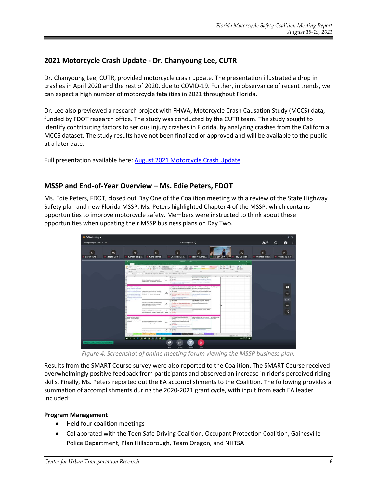#### **2021 Motorcycle Crash Update - Dr. Chanyoung Lee, CUTR**

Dr. Chanyoung Lee, CUTR, provided motorcycle crash update. The presentation illustrated a drop in crashes in April 2020 and the rest of 2020, due to COVID-19. Further, in observance of recent trends, we can expect a high number of motorcycle fatalities in 2021 throughout Florida.

Dr. Lee also previewed a research project with FHWA, Motorcycle Crash Causation Study (MCCS) data, funded by FDOT research office. The study was conducted by the CUTR team. The study sought to identify contributing factors to serious injury crashes in Florida, by analyzing crashes from the California MCCS dataset. The study results have not been finalized or approved and will be available to the public at a later date.

Full presentation available here: August [2021 Motorcycle Crash Update](https://ridesmartflorida.com/archives/sdm_downloads/august-2021-motorcycle-crash-update)

#### **MSSP and End-of-Year Overview – Ms. Edie Peters, FDOT**

Ms. Edie Peters, FDOT, closed out Day One of the Coalition meeting with a review of the State Highway Safety plan and new Florida MSSP. Ms. Peters highlighted Chapter 4 of the MSSP, which contains opportunities to improve motorcycle safety. Members were instructed to think about these opportunities when updating their MSSP business plans on Day Two.



*Figure 4. Screenshot of online meeting forum viewing the MSSP business plan.*

Results from the SMART Course survey were also reported to the Coalition. The SMART Course received overwhelmingly positive feedback from participants and observed an increase in rider's perceived riding skills. Finally, Ms. Peters reported out the EA accomplishments to the Coalition. The following provides a summation of accomplishments during the 2020-2021 grant cycle, with input from each EA leader included:

#### **Program Management**

- Held four coalition meetings
- Collaborated with the Teen Safe Driving Coalition, Occupant Protection Coalition, Gainesville Police Department, Plan Hillsborough, Team Oregon, and NHTSA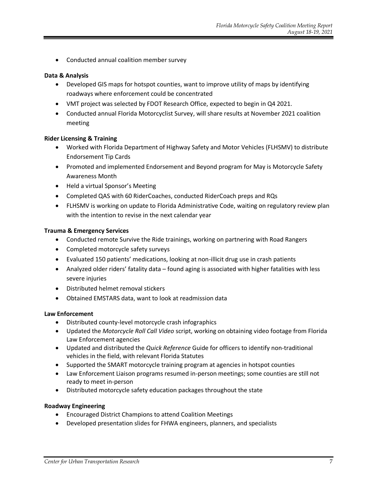• Conducted annual coalition member survey

#### **Data & Analysis**

- Developed GIS maps for hotspot counties, want to improve utility of maps by identifying roadways where enforcement could be concentrated
- VMT project was selected by FDOT Research Office, expected to begin in Q4 2021.
- Conducted annual Florida Motorcyclist Survey, will share results at November 2021 coalition meeting

#### **Rider Licensing & Training**

- Worked with Florida Department of Highway Safety and Motor Vehicles (FLHSMV) to distribute Endorsement Tip Cards
- Promoted and implemented Endorsement and Beyond program for May is Motorcycle Safety Awareness Month
- Held a virtual Sponsor's Meeting
- Completed QAS with 60 RiderCoaches, conducted RiderCoach preps and RQs
- FLHSMV is working on update to Florida Administrative Code, waiting on regulatory review plan with the intention to revise in the next calendar year

#### **Trauma & Emergency Services**

- Conducted remote Survive the Ride trainings, working on partnering with Road Rangers
- Completed motorcycle safety surveys
- Evaluated 150 patients' medications, looking at non-illicit drug use in crash patients
- Analyzed older riders' fatality data found aging is associated with higher fatalities with less severe injuries
- Distributed helmet removal stickers
- Obtained EMSTARS data, want to look at readmission data

#### **Law Enforcement**

- Distributed county-level motorcycle crash infographics
- Updated the *Motorcycle Roll Call Video* script, working on obtaining video footage from Florida Law Enforcement agencies
- Updated and distributed the *Quick Reference* Guide for officers to identify non-traditional vehicles in the field, with relevant Florida Statutes
- Supported the SMART motorcycle training program at agencies in hotspot counties
- Law Enforcement Liaison programs resumed in-person meetings; some counties are still not ready to meet in-person
- Distributed motorcycle safety education packages throughout the state

#### **Roadway Engineering**

- Encouraged District Champions to attend Coalition Meetings
- Developed presentation slides for FHWA engineers, planners, and specialists